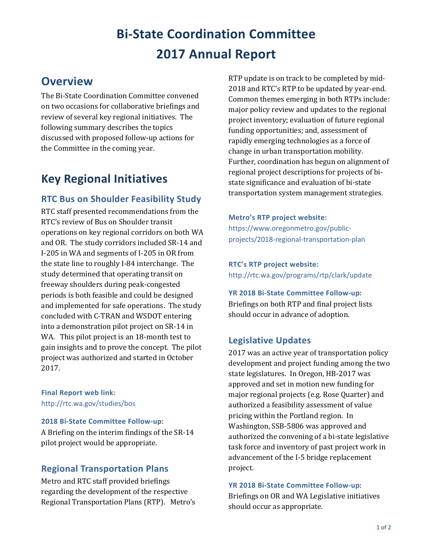# **Bi-State Coordination Committee 2017 Annual Report**

# **Overview**

The Bi-State Coordination Committee convened on two occasions for collaborative briefings and review of several key regional initiatives. The following summary describes the topics discussed with proposed follow-up actions for the Committee in the coming year.

# **Key Regional Initiatives**

## **RTC Bus on Shoulder Feasibility Study**

RTC staff presented recommendations from the RTC's review of Bus on Shoulder transit operations on key regional corridors on both WA and OR. The study corridors included SR-14 and I-205 in WA and segments of I-205 in OR from the state line to roughly I-84 interchange. The study determined that operating transit on freeway shoulders during peak-congested periods is both feasible and could be designed and implemented for safe operations. The study concluded with C-TRAN and WSDOT entering into a demonstration pilot project on SR-14 in WA. This pilot project is an 18-month test to gain insights and to prove the concept. The pilot project was authorized and started in October 2017.

**Final Report web link:**  <http://rtc.wa.gov/studies/bos>

#### **2018 Bi-State Committee Follow-up**:

A Briefing on the interim findings of the SR-14 pilot project would be appropriate.

## **Regional Transportation Plans**

Metro and RTC staff provided briefings regarding the development of the respective Regional Transportation Plans (RTP). Metro's RTP update is on track to be completed by mid-2018 and RTC's RTP to be updated by year-end. Common themes emerging in both RTPs include: major policy review and updates to the regional project inventory; evaluation of future regional funding opportunities; and, assessment of rapidly emerging technologies as a force of change in urban transportation mobility. Further, coordination has begun on alignment of regional project descriptions for projects of bistate significance and evaluation of bi-state transportation system management strategies.

#### **Metro's RTP project website:**

[https://www.oregonmetro.gov/public](https://www.oregonmetro.gov/public-projects/2018-regional-transportation-plan)[projects/2018-regional-transportation-plan](https://www.oregonmetro.gov/public-projects/2018-regional-transportation-plan)

#### **RTC's RTP project website:**

<http://rtc.wa.gov/programs/rtp/clark/update>

**YR 2018 Bi-State Committee Follow-up**: Briefings on both RTP and final project lists should occur in advance of adoption.

# **Legislative Updates**

2017 was an active year of transportation policy development and project funding among the two state legislatures. In Oregon, HB-2017 was approved and set in motion new funding for major regional projects (e.g. Rose Quarter) and authorized a feasibility assessment of value pricing within the Portland region. In Washington, SSB-5806 was approved and authorized the convening of a bi-state legislative task force and inventory of past project work in advancement of the I-5 bridge replacement project.

#### **YR 2018 Bi-State Committee Follow-up**:

Briefings on OR and WA Legislative initiatives should occur as appropriate.